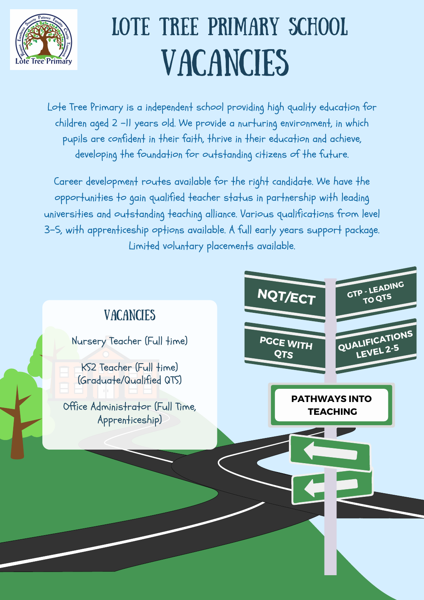Career development routes available for the right candidate. We have the opportunities to gain qualified teacher status in partnership with leading universities and outstanding teaching alliance. Various qualifications from level 3-5, with apprenticeship options available. A full early years support package. Limited voluntary placements available.



## VACANCIES LOTE TREE PRIMARY SCHOOL





**PGCE WITH QTS QUALIFICATIONS LEVEL 2-5 PATHWAYS INTO TEACHING** Nursery Teacher (Full time) KS2 Teacher (Full time) (Graduate/Qualified QTS) Office Administrator (Full Time, Apprenticeship)

Lote Tree Primary is a independent school providing high quality education for children aged 2 -11 years old. We provide a nurturing environment, in which pupils are confident in their faith, thrive in their education and achieve, developing the foundation for outstanding citizens of the future.